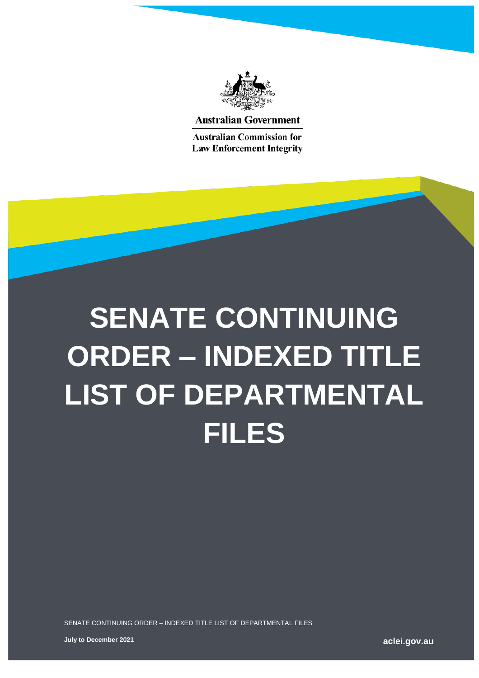

**Australian Government** 

**Australian Commission for Law Enforcement Integrity** 

## **SENATE CONTINUING ORDER – INDEXED TITLE LIST OF DEPARTMENTAL FILES**

SENATE CONTINUING ORDER – INDEXED TITLE LIST OF DEPARTMENTAL FILES

**aclei.gov.au**